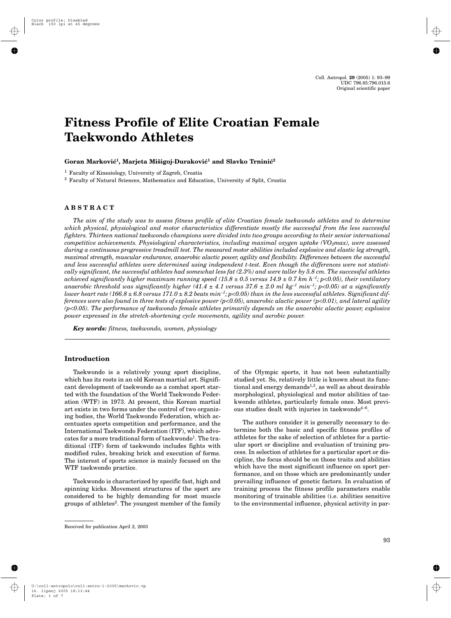# **Fitness Profile of Elite Croatian Female Taekwondo Athletes**

# Goran Marković<sup>1</sup>, Marjeta Mišigoj-Duraković<sup>1</sup> and Slavko Trninić<sup>2</sup>

<sup>1</sup> Faculty of Kinesiology, University of Zagreb, Croatia

<sup>2</sup> Faculty of Natural Sciences, Mathematics and Education, University of Split, Croatia

# **ABSTRACT**

*The aim of the study was to assess fitness profile of elite Croatian female taekwondo athletes and to determine which physical, physiological and motor characteristics differentiate mostly the successful from the less successful fighters. Thirteen national taekwondo champions were divided into two groups according to their senior international competitive achievements. Physiological characteristics, including maximal oxygen uptake (VO<sub>2</sub>max), were assessed during a continuous progressive treadmill test. The measured motor abilities included explosive and elastic leg strength, maximal strength, muscular endurance, anaerobic alactic power, agility and flexibility. Differences between the successful and less successful athletes were determined using independent t-test. Even though the differences were not statistically significant, the successful athletes had somewhat less fat (2.3%) and were taller by 5.8 cm. The successful athletes achieved significantly higher maximum running speed (15.8 ± 0.5 versus 14.9 ± 0.7 km h–1; p<0.05), their ventilatory anaerobic threshold was significantly higher (41.4 ± 4.1 versus 37.6 ± 2.0 ml kg–1 min–1; p<0.05) at a significantly lower heart rate (166.8 ± 6.8 versus 171.0 ± 8.2 beats min–1; p<0.05) than in the less successful athletes. Significant differences were also found in three tests of explosive power (p<0.05), anaerobic alactic power (p<0.01), and lateral agility (p<0.05). The performance of taekwondo female athletes primarily depends on the anaerobic alactic power, explosive power expressed in the stretch-shortening cycle movements, agility and aerobic power.*

*Key words: fitness, taekwondo, women, physiology*

# **Introduction**

Taekwondo is a relatively young sport discipline, which has its roots in an old Korean martial art. Significant development of taekwondo as a combat sport started with the foundation of the World Taekwondo Federation (WTF) in 1973. At present, this Korean martial art exists in two forms under the control of two organizing bodies, the World Taekwondo Federation, which accentuates sports competition and performance, and the International Taekwondo Federation (ITF), which advocates for a more traditional form of taekwondo<sup>1</sup>. The traditional (ITF) form of taekwondo includes fights with modified rules, breaking brick and execution of forms. The interest of sports science is mainly focused on the WTF taekwondo practice.

Taekwondo is characterized by specific fast, high and spinning kicks. Movement structures of the sport are considered to be highly demanding for most muscle groups of athletes<sup>2</sup>. The youngest member of the family of the Olympic sports, it has not been substantially studied yet. So, relatively little is known about its functional and energy demands<sup>1,3</sup>, as well as about desirable morphological, physiological and motor abilities of taekwondo athletes, particularly female ones. Most previous studies dealt with injuries in taekwondo $4-6$ .

The authors consider it is generally necessary to determine both the basic and specific fitness profiles of athletes for the sake of selection of athletes for a particular sport or discipline and evaluation of training process. In selection of athletes for a particular sport or discipline, the focus should be on those traits and abilities which have the most significant influence on sport performance, and on those which are predominantly under prevailing influence of genetic factors. In evaluation of training process the fitness profile parameters enable monitoring of trainable abilities (i.e. abilities sensitive to the environmental influence, physical activity in par-

Received for publication April 2, 2003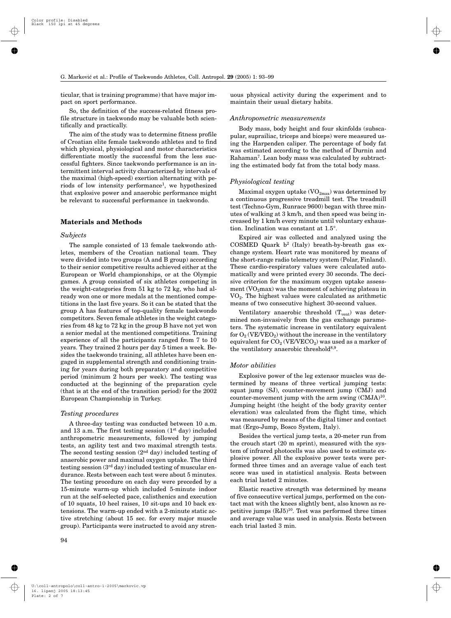ticular, that is training programme) that have major impact on sport performance.

So, the definition of the success-related fitness profile structure in taekwondo may be valuable both scientifically and practically.

The aim of the study was to determine fitness profile of Croatian elite female taekwondo athletes and to find which physical, physiological and motor characteristics differentiate mostly the successful from the less successful fighters. Since taekwondo performance is an intermittent interval activity characterized by intervals of the maximal (high-speed) exertion alternating with periods of low intensity performance<sup>1</sup>, we hypothesized that explosive power and anaerobic performance might be relevant to successful performance in taekwondo.

# **Materials and Methods**

# *Subjects*

The sample consisted of 13 female taekwondo athletes, members of the Croatian national team. They were divided into two groups (A and B group) according to their senior competitive results achieved either at the European or World championships, or at the Olympic games. A group consisted of six athletes competing in the weight-categories from 51 kg to 72 kg, who had already won one or more medals at the mentioned competitions in the last five years. So it can be stated that the group A has features of top-quality female taekwondo competitors. Seven female athletes in the weight categories from 48 kg to 72 kg in the group B have not yet won a senior medal at the mentioned competitions. Training experience of all the participants ranged from 7 to 10 years. They trained 2 hours per day 5 times a week. Besides the taekwondo training, all athletes have been engaged in supplemental strength and conditioning training for years during both preparatory and competitive period (minimum 2 hours per week). The testing was conducted at the beginning of the preparation cycle (that is at the end of the transition period) for the 2002 European Championship in Turkey.

#### *Testing procedures*

A three-day testing was conducted between 10 a.m. and 13 a.m. The first testing session  $(1<sup>st</sup> \, day)$  included anthropometric measurements, followed by jumping tests, an agility test and two maximal strength tests. The second testing session  $(2<sup>nd</sup> day)$  included testing of anaerobic power and maximal oxygen uptake. The third testing session (3rd day) included testing of muscular endurance. Rests between each test were about 5 minutes. The testing procedure on each day were preceded by a 15-minute warm-up which included 5-minute indoor run at the self-selected pace, calisthenics and execution of 10 squats, 10 heel raises, 10 sit-ups and 10 back extensions. The warm-up ended with a 2-minute static active stretching (about 15 sec. for every major muscle group). Participants were instructed to avoid any strenuous physical activity during the experiment and to maintain their usual dietary habits.

#### *Anthropometric measurements*

Body mass, body height and four skinfolds (subscapular, suprailiac, triceps and biceps) were measured using the Harpenden caliper. The percentage of body fat was estimated according to the method of Durnin and Rahaman7. Lean body mass was calculated by subtracting the estimated body fat from the total body mass.

#### *Physiological testing*

Maximal oxygen uptake  $(VO_{2max})$  was determined by a continuous progressive treadmill test. The treadmill test (Techno-Gym, Runrace 9600) began with three minutes of walking at 3 km/h, and then speed was being increased by 1 km/h every minute until voluntary exhaustion. Inclination was constant at 1.5°.

Expired air was collected and analyzed using the COSMED Quark  $b^2$  (Italy) breath-by-breath gas exchange system. Heart rate was monitored by means of the short-range radio telemetry system (Polar, Finland). These cardio-respiratory values were calculated automatically and were printed every 30 seconds. The decisive criterion for the maximum oxygen uptake assessment  $(VO_2$ max) was the moment of achieving plateau in  $VO<sub>2</sub>$ . The highest values were calculated as arithmetic means of two consecutive highest 30-second values.

Ventilatory anaerobic threshold  $(T_{vent})$  was determined non-invasively from the gas exchange parameters. The systematic increase in ventilatory equivalent for  $O_2$  (VE/VEO<sub>2</sub>) without the increase in the ventilatory equivalent for  $CO<sub>2</sub> (VE/VECO<sub>2</sub>)$  was used as a marker of the ventilatory anaerobic threshold<sup>8,9</sup>.

#### *Motor abilities*

Explosive power of the leg extensor muscles was determined by means of three vertical jumping tests: squat jump (SJ), counter-movement jump (CMJ) and counter-movement jump with the arm swing (CMJA)10. Jumping height (the height of the body gravity center elevation) was calculated from the flight time, which was measured by means of the digital timer and contact mat (Ergo-Jump, Bosco System, Italy).

Besides the vertical jump tests, a 20-meter run from the crouch start (20 m sprint), measured with the system of infrared photocells was also used to estimate explosive power. All the explosive power tests were performed three times and an average value of each test score was used in statistical analysis. Rests between each trial lasted 2 minutes.

Elastic reactive strength was determined by means of five consecutive vertical jumps, performed on the contact mat with the knees slightly bent, also known as repetitive jumps  $(RJ5)^{10}$ . Test was performed three times and average value was used in analysis. Rests between each trial lasted 3 min.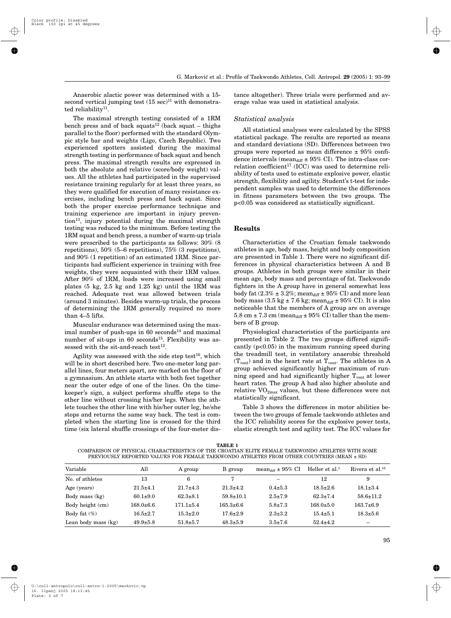Anaerobic alactic power was determined with a 15 second vertical jumping test  $(15 \text{ sec})^{11}$  with demonstrated reliability<sup>11</sup>.

The maximal strength testing consisted of a 1RM bench press and of back squats<sup>12</sup> (back squat – thighs parallel to the floor) performed with the standard Olympic style bar and weights (Ligo, Czech Republic). Two experienced spotters assisted during the maximal strength testing in performance of back squat and bench press. The maximal strength results are expressed in both the absolute and relative (score/body weight) values. All the athletes had participated in the supervised resistance training regularly for at least three years, so they were qualified for execution of many resistance exercises, including bench press and back squat. Since both the proper exercise performance technique and training experience are important in injury preven- $\mu$ <sub>13</sub>, injury potential during the maximal strength testing was reduced to the minimum. Before testing the 1RM squat and bench press, a number of warm-up trials were prescribed to the participants as follows: 30% (8 repetitions), 50% (5–6 repetitions), 75% (3 repetitions), and 90% (1 repetition) of an estimated 1RM. Since participants had sufficient experience in training with free weights, they were acquainted with their 1RM values. After 90% of 1RM, loads were increased using small plates (5 kg, 2.5 kg and 1.25 kg) until the 1RM was reached. Adequate rest was allowed between trials (around 3 minutes). Besides warm-up trials, the process of determining the 1RM generally required no more than 4–5 lifts.

Muscular endurance was determined using the maximal number of push-ups in  $60$  seconds<sup>14</sup> and maximal number of sit-ups in 60 seconds<sup>15</sup>. Flexibility was assessed with the sit-and-reach test<sup>12</sup>.

Agility was assessed with the side step test $16$ , which will be in short described here. Two one-meter long parallel lines, four meters apart, are marked on the floor of a gymnasium. An athlete starts with both feet together near the outer edge of one of the lines. On the timekeeper's sign, a subject performs shuffle steps to the other line without crossing his/her legs. When the athlete touches the other line with his/her outer leg, he/she stops and returns the same way back. The test is completed when the starting line is crossed for the third time (six lateral shuffle crossings of the four-meter distance altogether). Three trials were performed and average value was used in statistical analysis.

# *Statistical analysis*

All statistical analyses were calculated by the SPSS statistical package. The results are reported as means and standard deviations (SD). Differences between two groups were reported as mean difference  $\pm$  95% confidence intervals (mean $_{diff}$   $\pm$  95% CI). The intra-class correlation coefficient<sup>17</sup> (ICC) was used to determine reliability of tests used to estimate explosive power, elastic strength, flexibility and agility. Student's t-test for independent samples was used to determine the differences in fitness parameters between the two groups. The p<0.05 was considered as statistically significant.

#### **Results**

Characteristics of the Croatian female taekwondo athletes in age, body mass, height and body composition are presented in Table 1. There were no significant differences in physical characteristics between A and B groups. Athletes in both groups were similar in their mean age, body mass and percentage of fat. Taekwondo fighters in the A group have in general somewhat less body fat  $(2.3\% \pm 3.2\%)$ ; mean<sub>diff</sub>  $\pm 95\%$  CI) and more lean body mass  $(3.5 \text{ kg} \pm 7.6 \text{ kg})$ ; mean<sub>diff</sub>  $\pm$  95% CI). It is also noticeable that the members of A group are on average 5.8 cm  $\pm$  7.3 cm (mean<sub>diff</sub>  $\pm$  95% CI) taller than the members of B group.

Physiological characteristics of the participants are presented in Table 2. The two groups differed significantly  $(p<0.05)$  in the maximum running speed during the treadmill test, in ventilatory anaerobic threshold  $(T<sub>vent</sub>)$  and in the heart rate at  $T<sub>vent</sub>$ . The athletes in A group achieved significantly higher maximum of running speed and had significantly higher  $T_{vent}$  at lower heart rates. The group A had also higher absolute and relative  $\rm VO_{2max}$  values, but these differences were not statistically significant.

Table 3 shows the differences in motor abilities between the two groups of female taekwondo athletes and the ICC reliability scores for the explosive power tests, elastic strength test and agility test. The ICC values for

**TABLE 1** COMPARISON OF PHYSICAL CHARACTERISTICS OF THE CROATIAN ELITE FEMALE TAEKWONDO ATHLETES WITH SOME PREVIOUSLY REPORTED VALUES FOR FEMALE TAEKWONDO ATHLETES FROM OTHER COUNTRIES (MEAN ± SD)

| Variable            | All             | A group         | B group         | mean <sub>diff</sub> $\pm$ 95% CI | Heller et al. $1$ | Rivera et al. <sup>18</sup> |
|---------------------|-----------------|-----------------|-----------------|-----------------------------------|-------------------|-----------------------------|
| No. of athletes     | 13              | 6               | п,              | -                                 | 12                | 9                           |
| Age (years)         | $21.5+4.1$      | $21.7 + 4.3$    | $21.3 \pm 4.2$  | $0.4 \pm 5.3$                     | $18.5 \pm 2.6$    | $18.1 \pm 3.4$              |
| Body mass (kg)      | $60.1 \pm 9.0$  | $62.3 \pm 8.1$  | $59.8 \pm 10.1$ | $2.5 \pm 7.9$                     | $62.3 \pm 7.4$    | $58.6 \pm 11.2$             |
| Body height (cm)    | $168.0 \pm 6.6$ | $171.1 \pm 5.4$ | $165.3 \pm 6.6$ | $5.8 \pm 7.3$                     | $168.0 \pm 5.0$   | $163.7 \pm 6.9$             |
| Body fat $(\%)$     | $16.5 \pm 2.7$  | $15.3 \pm 2.0$  | $17.6 \pm 2.9$  | $2.3 \pm 3.2$                     | $15.4 \pm 5.1$    | $18.3 \pm 5.6$              |
| Lean body mass (kg) | $49.9 \pm 5.8$  | $51.8 \pm 5.7$  | $48.3 \pm 5.9$  | $3.5 \pm 7.6$                     | $52.4 \pm 4.2$    | $\equiv$                    |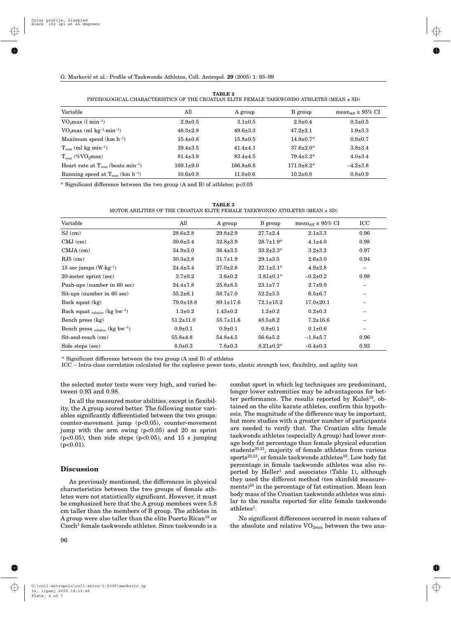| PHYSIOLOGICAL CHARACTERISTICS OF THE CROATIAN ELITE FEMALE TAEKWONDO ATHLETES (MEAN ± SD) |                 |                 |                   |                                   |  |  |  |
|-------------------------------------------------------------------------------------------|-----------------|-----------------|-------------------|-----------------------------------|--|--|--|
| Variable                                                                                  | All             | A group         | B group           | mean <sub>diff</sub> $\pm$ 95% CI |  |  |  |
| $VO2max (l min-1)$                                                                        | $2.9 \pm 0.5$   | $3.1 \pm 0.5$   | $2.8 \pm 0.4$     | $0.3 \pm 0.5$                     |  |  |  |
| $VO2max$ (ml kg <sup>-1</sup> ·min <sup>-1</sup> )                                        | $48.3 \pm 2.8$  | $49.6 \pm 3.3$  | $47.2 \pm 2.1$    | $1.9 \pm 3.3$                     |  |  |  |
| Maximum speed $(km h^{-1})$                                                               | $15.4 \pm 0.8$  | $15.8 \pm 0.5$  | $14.9 \pm 0.7*$   | $0.9 \pm 0.7$                     |  |  |  |
| $T_{\text{vent}}$ (ml kg min <sup>-1</sup> )                                              | $39.4 \pm 3.5$  | $41.4 \pm 4.1$  | $37.6 \pm 2.0^*$  | $3.8 \pm 3.4$                     |  |  |  |
| $T_{vent}$ (% $VO2max$ )                                                                  | $81.4 \pm 3.9$  | $83.4 \pm 4.5$  | $79.4 \pm 3.2^*$  | $4.0 \pm 3.4$                     |  |  |  |
| Heart rate at $T_{vent}$ (beats min <sup>-1</sup> )                                       | $169.1 \pm 9.0$ | $166.8 \pm 6.8$ | $171.0 \pm 8.2^*$ | $-4.2 \pm 3.8$                    |  |  |  |
| Running speed at $T_{vent}$ (km h <sup>-1</sup> )                                         | $10.6 \pm 0.8$  | $11.0 \pm 0.6$  | $10.2 \pm 0.8$    | $0.8 \pm 0.9$                     |  |  |  |

**TABLE 2** PHYSIOLOGICAL CHARACTERISTICS OF THE CROATIAN ELITE FEMALE TAEKWONDO ATHLETES (MEAN ± SD)

\* Significant difference between the two group (A and B) of athletes; p<0.05

| TABLE 3 |
|---------|
|---------|

MOTOR ABILITIES OF THE CROATIAN ELITE FEMALE TAEKWONDO ATHLETES (MEAN  $\pm$  SD)

| Variable                                             | All             | A group         | B group          | mean <sub>diff</sub> $\pm$ 95% CI | ICC                      |
|------------------------------------------------------|-----------------|-----------------|------------------|-----------------------------------|--------------------------|
| $SJ$ (cm)                                            | $28.6 \pm 2.8$  | $29.8 \pm 2.9$  | $27.7 \pm 2.4$   | $2.1 \pm 3.3$                     | 0.96                     |
| $CMJ$ (cm)                                           | $30.6 \pm 3.4$  | $32.8 \pm 3.9$  | $28.7 \pm 1.9^*$ | $4.1 \pm 4.0$                     | 0.98                     |
| $CMJA$ (cm)                                          | $34.9 \pm 3.0$  | $36.4 \pm 3.5$  | $33.2 \pm 2.3^*$ | $3.2 \pm 3.2$                     | 0.97                     |
| $RJ5$ (cm)                                           | $30.3 \pm 2.8$  | $31.7 \pm 1.9$  | $29.1 \pm 3.5$   | $2.6 \pm 3.0$                     | 0.94                     |
| 15 sec jumps $(W \cdot kg^{-1})$                     | $24.4 \pm 3.4$  | $27.0 \pm 2.6$  | $22.1 \pm 2.1^*$ | $4.9 \pm 2.8$                     | -                        |
| 20-meter sprint (sec)                                | $3.7 \pm 0.2$   | $3.6 \pm 0.2$   | $3.81 \pm 0.1^*$ | $-0.2+0.2$                        | 0.98                     |
| Push-ups (number in 60 sec)                          | $24.4 \pm 7.8$  | $25.8 \pm 8.5$  | $23.1 \pm 7.7$   | $2.7 + 9.9$                       | $\overline{\phantom{0}}$ |
| Sit-ups (number in 60 sec)                           | $55.2 \pm 6.1$  | $58.7 \pm 7.0$  | $52.2 \pm 3.5$   | $6.5 \pm 6.7$                     |                          |
| Back squat (kg)                                      | $79.0 \pm 18.8$ | $89.1 \pm 17.6$ | $72.1 \pm 15.2$  | $17.0 \pm 20.1$                   |                          |
| Back squat $_{relative}$ (kg bw <sup>-1</sup> )      | $1.3 \pm 0.2$   | $1.43 \pm 0.2$  | $1.2 \pm 0.2$    | $0.2 \pm 0.3$                     |                          |
| Bench press $(kg)$                                   | $51.2 \pm 11.0$ | $55.7 \pm 11.6$ | $48.5 \pm 8.2$   | $7.2 \pm 16.6$                    |                          |
| Bench press $_{\rm relative}$ (kg bw <sup>-1</sup> ) | $0.9 \pm 0.1$   | $0.9 + 0.1$     | $0.8 \pm 0.1$    | $0.1 \pm 0.6$                     | $\overline{\phantom{0}}$ |
| Sit-and-reach (cm)                                   | $55.8 \pm 4.8$  | $54.8 \pm 4.5$  | $56.6 \pm 5.2$   | $-1.8 + 5.7$                      | 0.96                     |
| Side steps (sec)                                     | $8.0 \pm 0.3$   | $7.8 \pm 0.3$   | $8.21 \pm 0.2^*$ | $-0.4 \pm 0.3$                    | 0.93                     |

\* Significant difference between the two group (A and B) of athletes

ICC – Intra-class correlation calculated for the explosive power tests, elastic strength test, flexibility, and agility test

the selected motor tests were very high, and varied between 0.93 and 0.98.

In all the measured motor abilities, except in flexibility, the A group scored better. The following motor variables significantly differentiated between the two groups: counter-movement jump (p<0.05), counter-movement jump with the arm swing  $(p<0.05)$  and 20 m sprint  $(p<0.05)$ , then side steps  $(p<0.05)$ , and 15 s jumping  $(p<0.01)$ .

### **Discussion**

As previously mentioned, the differences in physical characteristics between the two groups of female athletes were not statistically significant. However, it must be emphasized here that the A group members were 5.8 cm taller than the members of B group. The athletes in A group were also taller than the elite Puerto Rican<sup>18</sup> or Czech1 female taekwondo athletes. Since taekwondo is a

combat sport in which leg techniques are predominant, longer lower extremities may be advantageous for better performance. The results reported by Kule $\check{s}^{19}$ , obtained on the elite karate athletes, confirm this hypothesis. The magnitude of the difference may be important, but more studies with a greater number of participants are needed to verify that. The Croatian elite female taekwondo athletes (especially A group) had lower average body fat percentage than female physical education students<sup>20,21</sup>, majority of female athletes from various sports<sup>22,23</sup>, or female taekwondo athletes<sup>18</sup>. Low body fat percentage in female taekwondo athletes was also reported by  $Heller<sup>1</sup>$  and associates (Table 1), although they used the different method (ten skinfold measurements) $24$  in the percentage of fat estimation. Mean lean body mass of the Croatian taekwondo athletes was similar to the results reported for elite female taekwondo athletes1.

No significant differences occurred in mean values of the absolute and relative  $VO_{2max}$  between the two ana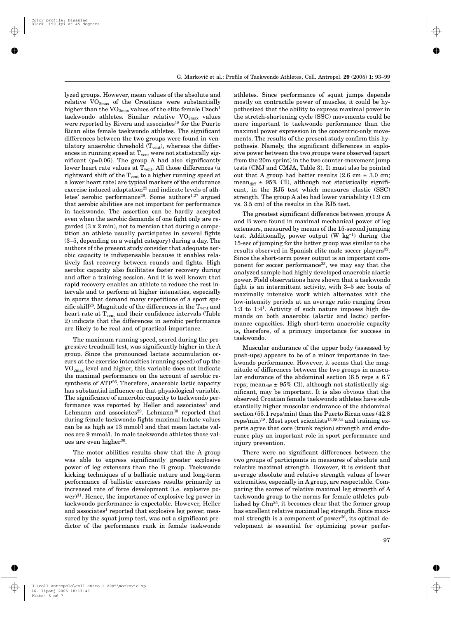lyzed groups. However, mean values of the absolute and relative  $VO_{2max}$  of the Croatians were substantially higher than the  $VO_{2max}$  values of the elite female Czech<sup>1</sup> taekwondo athletes. Similar relative  $VO_{2max}$  values were reported by Rivera and associates<sup>18</sup> for the Puerto Rican elite female taekwondo athletes. The significant differences between the two groups were found in ventilatory anaerobic threshold  $(T_{vent})$ , whereas the differences in running speed at  $T_{vent}$  were not statistically significant (p=0.06). The group A had also significantly lower heart rate values at  $T_{vent}$ . All those differences (a rightward shift of the  $T_{vent}$  to a higher running speed at a lower heart rate) are typical markers of the endurance exercise induced adaptation<sup>25</sup> and indicate levels of athletes' aerobic performance<sup>26</sup>. Some authors<sup>1,27</sup> argued that aerobic abilities are not important for performance in taekwondo. The assertion can be hardly accepted even when the aerobic demands of one fight only are regarded (3 x 2 min), not to mention that during a competition an athlete usually participates in several fights (3–5, depending on a weight category) during a day. The authors of the present study consider that adequate aerobic capacity is indispensable because it enables relatively fast recovery between rounds and fights. High aerobic capacity also facilitates faster recovery during and after a training session. And it is well known that rapid recovery enables an athlete to reduce the rest intervals and to perform at higher intensities, especially in sports that demand many repetitions of a sport specific skill<sup>28</sup>. Magnitude of the differences in the  $T_{vent}$  and heart rate at T<sub>vent</sub> and their confidence intervals (Table 2) indicate that the differences in aerobic performance are likely to be real and of practical importance.

The maximum running speed, scored during the progressive treadmill test, was significantly higher in the A group. Since the pronounced lactate accumulation occurs at the exercise intensities (running speed) of up the  $VO<sub>2max</sub>$  level and higher, this variable does not indicate the maximal performance on the account of aerobic resynthesis of ATP26. Therefore, anaerobic lactic capacity has substantial influence on that physiological variable. The significance of anaerobic capacity to taekwondo performance was reported by Heller and associates<sup>1</sup> and Lehmann and associates $29$ . Lehmann $30$  reported that during female taekwondo fights maximal lactate values can be as high as 13 mmol/l and that mean lactate values are 9 mmol/l. In male taekwondo athletes those values are even higher $30$ .

The motor abilities results show that the A group was able to express significantly greater explosive power of leg extensors than the B group. Taekwondo kicking techniques of a ballistic nature and long-term performance of ballistic exercises results primarily in increased rate of force development (i.e. explosive power)<sup>31</sup>. Hence, the importance of explosive leg power in taekwondo performance is expectable. However, Heller and associates<sup>1</sup> reported that explosive leg power, measured by the squat jump test, was not a significant predictor of the performance rank in female taekwondo athletes. Since performance of squat jumps depends mostly on contractile power of muscles, it could be hypothesized that the ability to express maximal power in the stretch-shortening cycle (SSC) movements could be more important to taekwondo performance than the maximal power expression in the concentric-only movements. The results of the present study confirm this hypothesis. Namely, the significant differences in explosive power between the two groups were observed (apart from the 20m sprint) in the two counter-movement jump tests (CMJ and CMJA, Table 3). It must also be pointed out that A group had better results  $(2.6 \text{ cm} \pm 3.0 \text{ cm})$ ; mean<sub>diff</sub>  $\pm$  95% CI), although not statistically significant, in the RJ5 test which measures elastic (SSC) strength. The group A also had lower variability (1.9 cm vs. 3.5 cm) of the results in the RJ5 test.

The greatest significant difference between groups A and B were found in maximal mechanical power of leg extensors, measured by means of the 15-second jumping test. Additionally, power output  $(W \text{ kg}^{-1})$  during the 15-sec of jumping for the better group was similar to the results observed in Spanish elite male soccer players<sup>32</sup>. Since the short-term power output is an important component for soccer performance<sup>33</sup>, we may say that the analyzed sample had highly developed anaerobic alactic power. Field observations have shown that a taekwondo fight is an intermittent activity, with 3–5 sec bouts of maximally intensive work which alternates with the low-intensity periods at an average ratio ranging from 1:3 to 1:41. Activity of such nature imposes high demands on both anaerobic (alactic and lactic) performance capacities. High short-term anaerobic capacity is, therefore, of a primary importance for success in taekwondo.

Muscular endurance of the upper body (assessed by push-ups) appears to be of a minor importance in taekwondo performance. However, it seems that the magnitude of differences between the two groups in muscular endurance of the abdominal section (6.5 reps  $\pm$  6.7 reps; mean<sub>diff</sub>  $\pm$  95% CI), although not statistically significant, may be important. It is also obvious that the observed Croatian female taekwondo athletes have substantially higher muscular endurance of the abdominal section (55.1 reps/min) than the Puerto Rican ones (42.8 reps/min)18. Most sport scientists13,28,34 and training experts agree that core (trunk region) strength and endurance play an important role in sport performance and injury prevention.

There were no significant differences between the two groups of participants in measures of absolute and relative maximal strength. However, it is evident that average absolute and relative strength values of lower extremities, especially in A group, are respectable. Comparing the scores of relative maximal leg strength of A taekwondo group to the norms for female athletes published by Chu35, it becomes clear that the former group has excellent relative maximal leg strength. Since maximal strength is a component of power<sup>36</sup>, its optimal development is essential for optimizing power perfor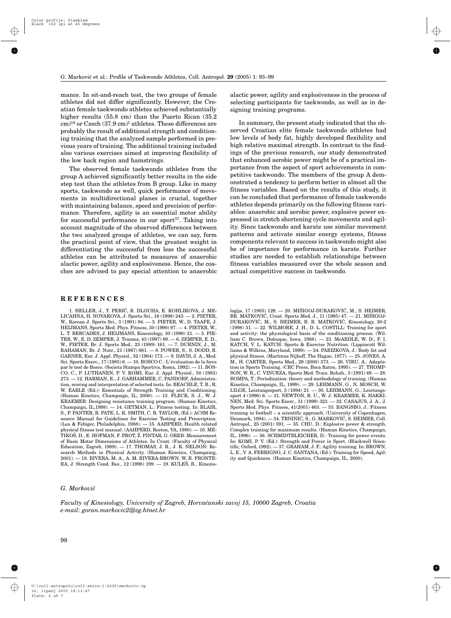mance. In sit-and-reach test, the two groups of female athletes did not differ significantly. However, the Croatian female taekwondo athletes achieved substantially higher results (55.8 cm) than the Puerto Rican (35.2 cm)<sup>18</sup> or Czech (37.9 cm)<sup>1</sup> athletes. These differences are probably the result of additional strength and conditioning training that the analyzed sample performed in previous years of training. The additional training included also various exercises aimed at improving flexibility of the low back region and hamstrings.

The observed female taekwondo athletes from the group A achieved significantly better results in the side step test than the athletes from B group. Like in many sports, taekwondo as well, quick performance of movements in multidirectional planes is crucial, together with maintaining balance, speed and precision of performance. Therefore, agility is an essential motor ability for successful performance in our sport<sup>37</sup>. Taking into account magnitude of the observed differences between the two analyzed groups of athletes, we can say, form the practical point of view, that the greatest weight in differentiating the successful from less the successful athletes can be attributed to measures of anaerobic alactic power, agility and explosiveness. Hence, the coaches are advised to pay special attention to anaerobic

# **REFERENCES**

alactic power, agility and explosiveness in the process of selecting participants for taekwondo, as well as in designing training programs.

In summary, the present study indicated that the observed Croatian elite female taekwondo athletes had low levels of body fat, highly developed flexibility and high relative maximal strength. In contrast to the findings of the previous research, our study demonstrated that enhanced aerobic power might be of a practical importance from the aspect of sport achievements in competitive taekwondo. The members of the group A demonstrated a tendency to perform better in almost all the fitness variables. Based on the results of this study, it can be concluded that performance of female taekwondo athletes depends primarily on the following fitness variables: anaerobic and aerobic power, explosive power expressed in stretch shortening cycle movements and agility. Since taekwondo and karate use similar movement patterns and activate similar energy systems, fitness components relevant to success in taekwondo might also be of importance for performance in karate. Further studies are needed to establish relationships between fitness variables measured over the whole season and actual competitive success in taekwondo.

logija, 17 (1985) 129. - 20. MIŠIGOJ-DURAKOVIĆ, M., S. HEIMER, BR. MATKOVIĆ, Croat. Sports Med. J., 11 (1995) 47. - 21. MIŠIGOJ-DURAKOVIĆ, M., S. HEIMER, B. R. MATKOVIĆ, Kinesiology, 30-2 (1998) 31. — 22. WILMORE, J. H., D. L. COSTILL: Training for sport and activity: the physiological basis of the conditioning process. (William C. Brown, Dubuque, Iowa, 1988). — 23. McARDLE, W. D., F. I. KATCH, V. L. KATCH: Sports & Exercise Nutrition. (Lippincott Williams & Wilkins, Maryland, 1999). — 24. PARIZKOVA, J.: Body fat and physical fitness. (Martinus Nijhoff, The Hague, 1977). — 25. JONES, A. M., H. CARTER, Sports Med., 29 (2000) 373. — 26. VIRU, A.: Adaptation in Sports Training. (CRC Press, Boca Raton, 1995). — 27. THOMP-SON, W. R., C. VINUEZA, Sports Med. Train. Rehab., 3 (1991) 49. — 28. BOMPA, T.: Periodization: theory and methodology of training. (Human Kinetics, Champaign, IL, 1999). — 29. LEHMANN, G., N. MOSCH, W. LILGE, Leistungssport, 3 (1994) 21. — 30. LEHMANN, G., Leistungssport 4 (1996) 6. — 31. NEWTON, R. U., W. J. KRAEMER, K. HAKKI-NEN, Med. Sci. Sports Exerc., 31 (1999) 323. — 32. CASAJUS, J. A., J. Sports Med. Phys. Fitness, 41(2001) 463. — 33. BANGSBO, J.: Fitness training in football – a scientific approach. (University of Copenhagen, Denmark, 1994). — 34. TRNINIĆ, S., G. MARKOVIĆ, S. HEIMER, Coll. Antropol., 25 (2001) 591. — 35. CHU, D.: Explosive power & strength. Complex training for maximum results. (Human Kinetics, Champaign, IL, 1996). — 36. SCHMIDTBLEICHER, D.: Training for power events. In: KOMI, P. V. (Ed.): Strength and Power in Sport. (Blackwell Scientific, Oxford, 1992). — 37. GRAHAM, J. F.: Agility training. In: BROWN, L. E., V. A. FERRIGNO, J. C. SANTANA, (Ed.): Training for Speed, Agility and Quickness. (Human Kinetics, Champaign, IL, 2000).

# *G. Markovi}*

*Faculty of Kinesiology, University of Zagreb, Horva}anski zavoj 15, 10000 Zagreb, Croatia e-mail: goran.markovic2@zg.htnet.hr*

<sup>1.</sup> HELLER, J., T. PERIČ, R. DLOUHA, E. KOHLIKOVA, J. ME-LICAHNA, H. NOVAKOVA, J. Sports Sci., 16 (1998) 243. — 2. PIETER, W., Korean J. Sports Sci., 3 (1991) 94. — 3. PIETER, W., D. TAAFE, J. HEIJMANS, Sports Med. Phys. Fitness, 30 (1990) 97. — 4. PIETER, W., L. T. BERCADES, J. HEIJMANS, Kinesiology, 30 (1998) 21. — 5. PIE-TER, W., E. D. ZEMPER, J. Trauma, 43 (1997) 89. — 6. ZEMPER, E. D., W., PIETER, Br. J. Sports Med., 23 (1989) 161. — 7. DURNIN, J., M. RAHAMAN, Br. J. Nutr., 21 (1967) 681. — 8. POWER, S., S. DODD, R. GARNER, Eur. J. Appl. Physiol., 52 (1984) 173. — 9. DAVIS, J. A., Med. Sci. Sports Exerc., 17 (1985) 6. - 10. BOSCO C.: L'évaluation de la force par le test de Bosco. (Societa Stampa Sportiva, Roma, 1992). — 11. BOS-CO, C., P. LUTHANEN, P. V. KOMI, Eur. J. Appl. Physiol., 50 (1983) 273. — 12. HARMAN, E., J. GARHAMMER, C. PANDORF, Administration, scoring and interpretation of selected tests. In: BEACHLE, T. R., R. W. EARLE (Ed.): Essentials of Strength Training and Conditioning. (Human Kinetics, Champaign, IL, 2000). — 13. FLECK, S. J., W. J. KRAEMER: Designing resistance training program. (Human Kinetics, Champaign, IL,1998). — 14. GETMAN, L.: Fitness testing. In: BLAIR, S., P. PANTER, R. PATE, L. K. SMITH, C. B. TAYLOR, (Ed.): ACSM Resource Manual for Guidelines for Exercise Testing and Prescription. (Lea & Febiger, Philadelphia, 1988). — 15. AAHPERD, Health related physical fitness test manual. (AAHPERD, Reston, VA, 1980). — 16. ME-TIKOŠ, D., E. HOFMAN, F. PROT, Ž. PINTAR, G. OREB: Measurement of Basic Motor Dimensions of Athletes. In Croat. (Faculty of Physical Education, Zagreb, 1989). — 17. THOMAS, J. R., J. K. NELSON: Research Methods in Physical Activity. (Human Kinetics, Champaing, 2001). — 18. RIVERA, M. A., A. M. RIVERA-BROWN, W. R. FRONTE-RA, J. Strength Cond. Res., 12 (1998) 199. - 19. KULEŠ, B., Kinezio-